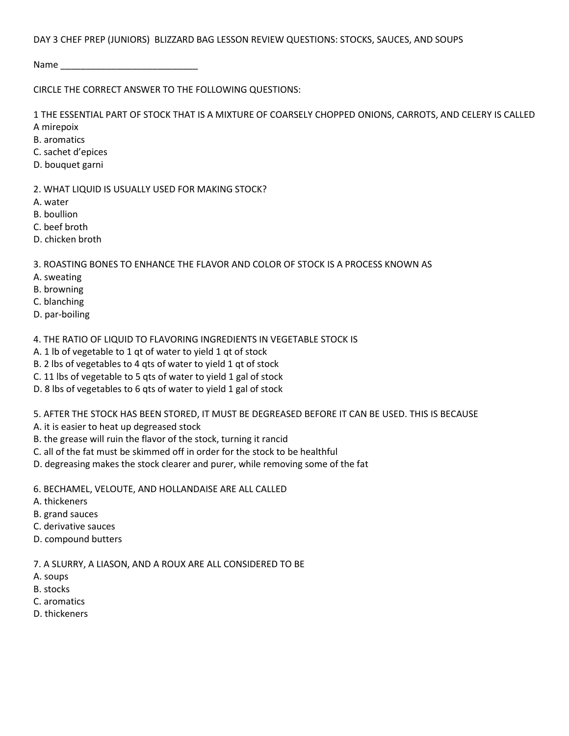## DAY 3 CHEF PREP (JUNIORS) BLIZZARD BAG LESSON REVIEW QUESTIONS: STOCKS, SAUCES, AND SOUPS

Name \_\_\_\_\_\_\_\_\_\_\_\_\_\_\_\_\_\_\_\_\_\_\_\_\_\_\_

CIRCLE THE CORRECT ANSWER TO THE FOLLOWING QUESTIONS:

1 THE ESSENTIAL PART OF STOCK THAT IS A MIXTURE OF COARSELY CHOPPED ONIONS, CARROTS, AND CELERY IS CALLED A mirepoix

- B. aromatics
- C. sachet d'epices
- D. bouquet garni
- 2. WHAT LIQUID IS USUALLY USED FOR MAKING STOCK?
- A. water
- B. boullion
- C. beef broth
- D. chicken broth

3. ROASTING BONES TO ENHANCE THE FLAVOR AND COLOR OF STOCK IS A PROCESS KNOWN AS

- A. sweating
- B. browning
- C. blanching
- D. par-boiling
- 4. THE RATIO OF LIQUID TO FLAVORING INGREDIENTS IN VEGETABLE STOCK IS
- A. 1 lb of vegetable to 1 qt of water to yield 1 qt of stock
- B. 2 lbs of vegetables to 4 qts of water to yield 1 qt of stock
- C. 11 lbs of vegetable to 5 qts of water to yield 1 gal of stock
- D. 8 lbs of vegetables to 6 qts of water to yield 1 gal of stock

5. AFTER THE STOCK HAS BEEN STORED, IT MUST BE DEGREASED BEFORE IT CAN BE USED. THIS IS BECAUSE

A. it is easier to heat up degreased stock

- B. the grease will ruin the flavor of the stock, turning it rancid
- C. all of the fat must be skimmed off in order for the stock to be healthful
- D. degreasing makes the stock clearer and purer, while removing some of the fat
- 6. BECHAMEL, VELOUTE, AND HOLLANDAISE ARE ALL CALLED
- A. thickeners
- B. grand sauces
- C. derivative sauces
- D. compound butters

7. A SLURRY, A LIASON, AND A ROUX ARE ALL CONSIDERED TO BE

- A. soups
- B. stocks
- C. aromatics
- D. thickeners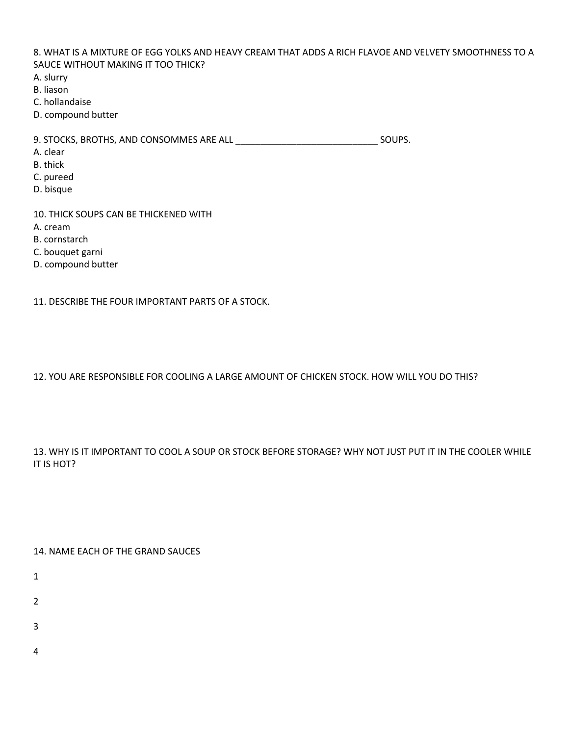8. WHAT IS A MIXTURE OF EGG YOLKS AND HEAVY CREAM THAT ADDS A RICH FLAVOE AND VELVETY SMOOTHNESS TO A SAUCE WITHOUT MAKING IT TOO THICK?

A. slurry

B. liason

C. hollandaise

D. compound butter

9. STOCKS, BROTHS, AND CONSOMMES ARE ALL \_\_\_\_\_\_\_\_\_\_\_\_\_\_\_\_\_\_\_\_\_\_\_\_\_\_\_\_ SOUPS.

A. clear

- B. thick
- C. pureed
- D. bisque

10. THICK SOUPS CAN BE THICKENED WITH A. cream B. cornstarch C. bouquet garni

D. compound butter

11. DESCRIBE THE FOUR IMPORTANT PARTS OF A STOCK.

12. YOU ARE RESPONSIBLE FOR COOLING A LARGE AMOUNT OF CHICKEN STOCK. HOW WILL YOU DO THIS?

13. WHY IS IT IMPORTANT TO COOL A SOUP OR STOCK BEFORE STORAGE? WHY NOT JUST PUT IT IN THE COOLER WHILE IT IS HOT?

14. NAME EACH OF THE GRAND SAUCES

- 1
- 
- 2
- 3
- 
- 4